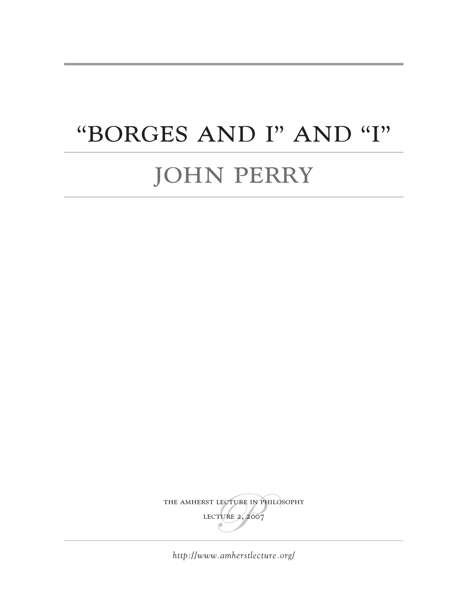# "BORGES AND I" AND "I"

# JOHN PERRY

THE AMHERST LECTURE IN PHILOSOPHY LECTURE 2, 2007

*<http://www.amherstlecture.org/>*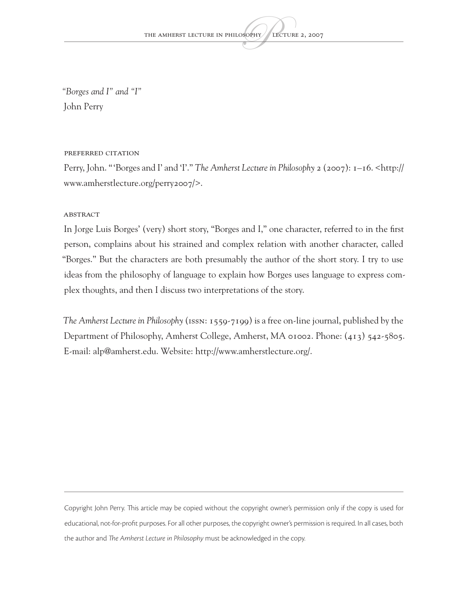*"Borges and I" and "I"* John Perry

#### Preferred citation

Perry, John. "'Borges and I' and 'I'." *The Amherst Lecture in Philosophy* 2 (2007): 1–16. [<http://](http://www.amherstlecture.org/perry2007/) [www.amherstlecture.org/perry2007/](http://www.amherstlecture.org/perry2007/)>.

#### **ABSTRACT**

In Jorge Luis Borges' (very) short story, "Borges and I," one character, referred to in the first person, complains about his strained and complex relation with another character, called "Borges." But the characters are both presumably the author of the short story. I try to use ideas from the philosophy of language to explain how Borges uses language to express complex thoughts, and then I discuss two interpretations of the story.

*The Amherst Lecture in Philosophy* (ISSN: 1559-7199) is a free on-line journal, published by the Department of Philosophy, Amherst College, Amherst, MA 01002. Phone: (413) 542-5805. E-mail: alp@amherst.edu. Website: [http://www.amherstlecture.org/.](http://www.amherstlecture.org/)

Copyright John Perry. This article may be copied without the copyright owner's permission only if the copy is used for educational, not-for-profit purposes. For all other purposes, the copyright owner's permission is required. In all cases, both the author and *The Amherst Lecture in Philosophy* must be acknowledged in the copy.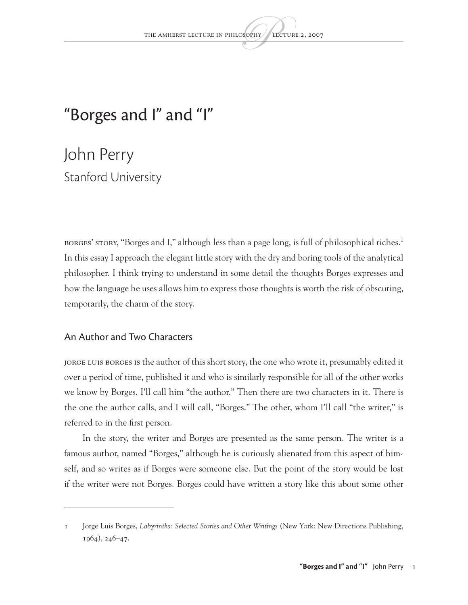## "Borges and I" and "I"

John Perry Stanford University

BORGES' STORY, "Borges and I," although less than a page long, is full of philosophical riches.<sup>1</sup> In this essay I approach the elegant little story with the dry and boring tools of the analytical philosopher. I think trying to understand in some detail the thoughts Borges expresses and how the language he uses allows him to express those thoughts is worth the risk of obscuring, temporarily, the charm of the story.

#### An Author and Two Characters

JORGE LUIS BORGES IS the author of this short story, the one who wrote it, presumably edited it over a period of time, published it and who is similarly responsible for all of the other works we know by Borges. I'll call him "the author." Then there are two characters in it. There is the one the author calls, and I will call, "Borges." The other, whom I'll call "the writer," is referred to in the first person.

In the story, the writer and Borges are presented as the same person. The writer is a famous author, named "Borges," although he is curiously alienated from this aspect of himself, and so writes as if Borges were someone else. But the point of the story would be lost if the writer were not Borges. Borges could have written a story like this about some other

<sup>1</sup> Jorge Luis Borges, *Labyrinths: Selected Stories and Other Writings* (New York: New Directions Publishing, 1964), 246–47.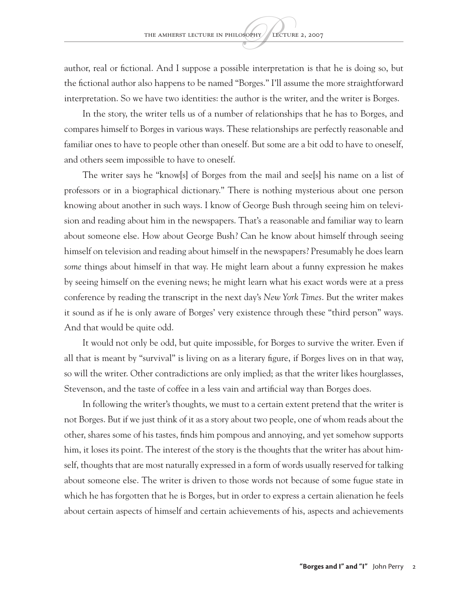author, real or fictional. And I suppose a possible interpretation is that he is doing so, but the fictional author also happens to be named "Borges." I'll assume the more straightforward interpretation. So we have two identities: the author is the writer, and the writer is Borges.

In the story, the writer tells us of a number of relationships that he has to Borges, and compares himself to Borges in various ways. These relationships are perfectly reasonable and familiar ones to have to people other than oneself. But some are a bit odd to have to oneself, and others seem impossible to have to oneself.

The writer says he "know[s] of Borges from the mail and see[s] his name on a list of professors or in a biographical dictionary." There is nothing mysterious about one person knowing about another in such ways. I know of George Bush through seeing him on television and reading about him in the newspapers. That's a reasonable and familiar way to learn about someone else. How about George Bush? Can he know about himself through seeing himself on television and reading about himself in the newspapers? Presumably he does learn *some* things about himself in that way. He might learn about a funny expression he makes by seeing himself on the evening news; he might learn what his exact words were at a press conference by reading the transcript in the next day's *New York Times*. But the writer makes it sound as if he is only aware of Borges' very existence through these "third person" ways. And that would be quite odd.

It would not only be odd, but quite impossible, for Borges to survive the writer. Even if all that is meant by "survival" is living on as a literary figure, if Borges lives on in that way, so will the writer. Other contradictions are only implied; as that the writer likes hourglasses, Stevenson, and the taste of coffee in a less vain and artificial way than Borges does.

In following the writer's thoughts, we must to a certain extent pretend that the writer is not Borges. But if we just think of it as a story about two people, one of whom reads about the other, shares some of his tastes, finds him pompous and annoying, and yet somehow supports him, it loses its point. The interest of the story is the thoughts that the writer has about himself, thoughts that are most naturally expressed in a form of words usually reserved for talking about someone else. The writer is driven to those words not because of some fugue state in which he has forgotten that he is Borges, but in order to express a certain alienation he feels about certain aspects of himself and certain achievements of his, aspects and achievements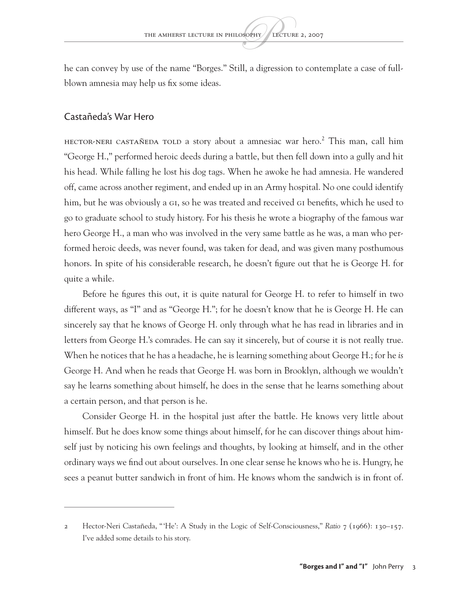he can convey by use of the name "Borges." Still, a digression to contemplate a case of fullblown amnesia may help us fix some ideas.

#### Castañeda's War Hero

HECTOR-NERI CASTAÑEDA TOLD a story about a amnesiac war hero.<sup>2</sup> This man, call him "George H.," performed heroic deeds during a battle, but then fell down into a gully and hit his head. While falling he lost his dog tags. When he awoke he had amnesia. He wandered off, came across another regiment, and ended up in an Army hospital. No one could identify him, but he was obviously a GI, so he was treated and received GI benefits, which he used to go to graduate school to study history. For his thesis he wrote a biography of the famous war hero George H., a man who was involved in the very same battle as he was, a man who performed heroic deeds, was never found, was taken for dead, and was given many posthumous honors. In spite of his considerable research, he doesn't figure out that he is George H. for quite a while.

Before he figures this out, it is quite natural for George H. to refer to himself in two different ways, as "I" and as "George H."; for he doesn't know that he is George H. He can sincerely say that he knows of George H. only through what he has read in libraries and in letters from George H.'s comrades. He can say it sincerely, but of course it is not really true. When he notices that he has a headache, he is learning something about George H.; for he *is* George H. And when he reads that George H. was born in Brooklyn, although we wouldn't say he learns something about himself, he does in the sense that he learns something about a certain person, and that person is he.

Consider George H. in the hospital just after the battle. He knows very little about himself. But he does know some things about himself, for he can discover things about himself just by noticing his own feelings and thoughts, by looking at himself, and in the other ordinary ways we find out about ourselves. In one clear sense he knows who he is. Hungry, he sees a peanut butter sandwich in front of him. He knows whom the sandwich is in front of.

<sup>2</sup> Hector-Neri Castañeda, "'He': A Study in the Logic of Self-Consciousness," *Ratio* 7 (1966): 130–157. I've added some details to his story.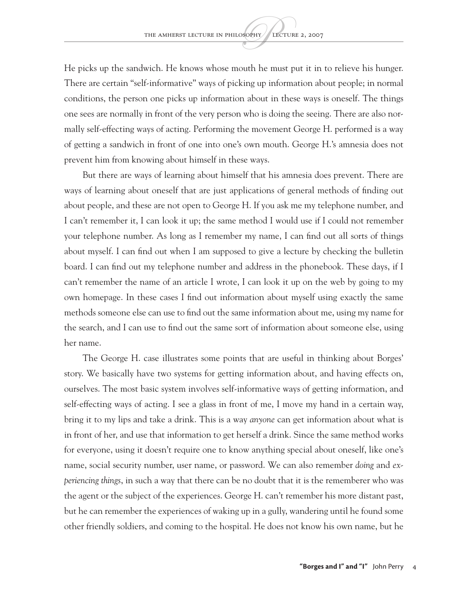He picks up the sandwich. He knows whose mouth he must put it in to relieve his hunger. There are certain "self-informative" ways of picking up information about people; in normal conditions, the person one picks up information about in these ways is oneself. The things one sees are normally in front of the very person who is doing the seeing. There are also normally self-effecting ways of acting. Performing the movement George H. performed is a way of getting a sandwich in front of one into one's own mouth. George H.'s amnesia does not prevent him from knowing about himself in these ways.

But there are ways of learning about himself that his amnesia does prevent. There are ways of learning about oneself that are just applications of general methods of finding out about people, and these are not open to George H. If you ask me my telephone number, and I can't remember it, I can look it up; the same method I would use if I could not remember your telephone number. As long as I remember my name, I can find out all sorts of things about myself. I can find out when I am supposed to give a lecture by checking the bulletin board. I can find out my telephone number and address in the phonebook. These days, if I can't remember the name of an article I wrote, I can look it up on the web by going to my own homepage. In these cases I find out information about myself using exactly the same methods someone else can use to find out the same information about me, using my name for the search, and I can use to find out the same sort of information about someone else, using her name.

The George H. case illustrates some points that are useful in thinking about Borges' story. We basically have two systems for getting information about, and having effects on, ourselves. The most basic system involves self-informative ways of getting information, and self-effecting ways of acting. I see a glass in front of me, I move my hand in a certain way, bring it to my lips and take a drink. This is a way *anyone* can get information about what is in front of her, and use that information to get herself a drink. Since the same method works for everyone, using it doesn't require one to know anything special about oneself, like one's name, social security number, user name, or password. We can also remember *doing* and *experiencing things*, in such a way that there can be no doubt that it is the rememberer who was the agent or the subject of the experiences. George H. can't remember his more distant past, but he can remember the experiences of waking up in a gully, wandering until he found some other friendly soldiers, and coming to the hospital. He does not know his own name, but he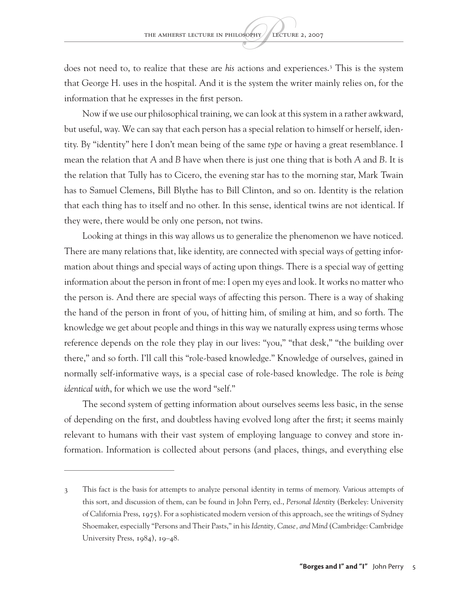does not need to, to realize that these are *his* actions and experiences.3 This is the system that George H. uses in the hospital. And it is the system the writer mainly relies on, for the information that he expresses in the first person.

Now if we use our philosophical training, we can look at this system in a rather awkward, but useful, way. We can say that each person has a special relation to himself or herself, identity. By "identity" here I don't mean being of the same *type* or having a great resemblance. I mean the relation that *A* and *B* have when there is just one thing that is both *A* and *B*. It is the relation that Tully has to Cicero, the evening star has to the morning star, Mark Twain has to Samuel Clemens, Bill Blythe has to Bill Clinton, and so on. Identity is the relation that each thing has to itself and no other. In this sense, identical twins are not identical. If they were, there would be only one person, not twins.

Looking at things in this way allows us to generalize the phenomenon we have noticed. There are many relations that, like identity, are connected with special ways of getting information about things and special ways of acting upon things. There is a special way of getting information about the person in front of me: I open my eyes and look. It works no matter who the person is. And there are special ways of affecting this person. There is a way of shaking the hand of the person in front of you, of hitting him, of smiling at him, and so forth. The knowledge we get about people and things in this way we naturally express using terms whose reference depends on the role they play in our lives: "you," "that desk," "the building over there," and so forth. I'll call this "role-based knowledge." Knowledge of ourselves, gained in normally self-informative ways, is a special case of role-based knowledge. The role is *being identical with*, for which we use the word "self."

The second system of getting information about ourselves seems less basic, in the sense of depending on the first, and doubtless having evolved long after the first; it seems mainly relevant to humans with their vast system of employing language to convey and store information. Information is collected about persons (and places, things, and everything else

<sup>3</sup> This fact is the basis for attempts to analyze personal identity in terms of memory. Various attempts of this sort, and discussion of them, can be found in John Perry, ed., *Personal Identity* (Berkeley: University of California Press, 1975). For a sophisticated modern version of this approach, see the writings of Sydney Shoemaker, especially "Persons and Their Pasts," in his *Identity, Cause, and Mind* (Cambridge: Cambridge University Press, 1984), 19–48.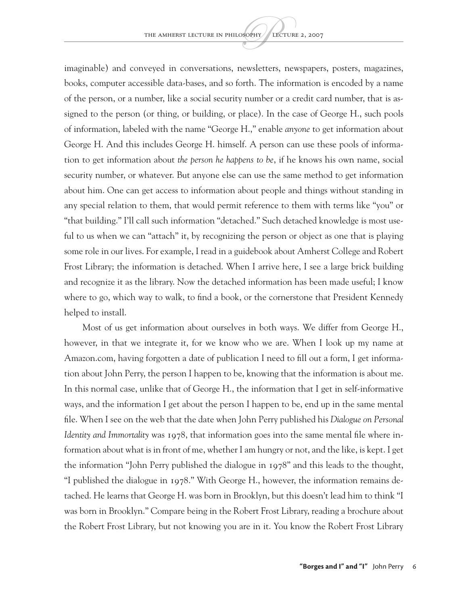imaginable) and conveyed in conversations, newsletters, newspapers, posters, magazines, books, computer accessible data-bases, and so forth. The information is encoded by a name of the person, or a number, like a social security number or a credit card number, that is assigned to the person (or thing, or building, or place). In the case of George H., such pools of information, labeled with the name "George H.," enable *anyone* to get information about George H. And this includes George H. himself. A person can use these pools of information to get information about *the person he happens to be*, if he knows his own name, social security number, or whatever. But anyone else can use the same method to get information about him. One can get access to information about people and things without standing in any special relation to them, that would permit reference to them with terms like "you" or "that building." I'll call such information "detached." Such detached knowledge is most useful to us when we can "attach" it, by recognizing the person or object as one that is playing some role in our lives. For example, I read in a guidebook about Amherst College and Robert Frost Library; the information is detached. When I arrive here, I see a large brick building and recognize it as the library. Now the detached information has been made useful; I know where to go, which way to walk, to find a book, or the cornerstone that President Kennedy helped to install.

Most of us get information about ourselves in both ways. We differ from George H., however, in that we integrate it, for we know who we are. When I look up my name at Amazon.com, having forgotten a date of publication I need to fill out a form, I get information about John Perry, the person I happen to be, knowing that the information is about me. In this normal case, unlike that of George H., the information that I get in self-informative ways, and the information I get about the person I happen to be, end up in the same mental file. When I see on the web that the date when John Perry published his *Dialogue on Personal Identity and Immortality* was 1978, that information goes into the same mental file where information about what is in front of me, whether I am hungry or not, and the like, is kept. I get the information "John Perry published the dialogue in 1978" and this leads to the thought, "I published the dialogue in 1978." With George H., however, the information remains detached. He learns that George H. was born in Brooklyn, but this doesn't lead him to think "I was born in Brooklyn." Compare being in the Robert Frost Library, reading a brochure about the Robert Frost Library, but not knowing you are in it. You know the Robert Frost Library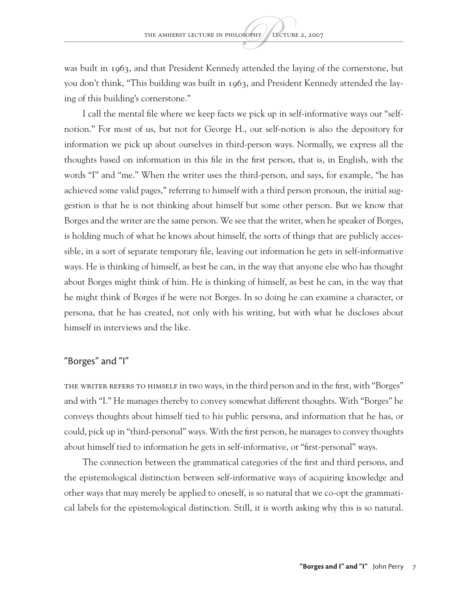was built in 1963, and that President Kennedy attended the laying of the cornerstone, but you don't think, "This building was built in 1963, and President Kennedy attended the laying of this building's cornerstone."

I call the mental file where we keep facts we pick up in self-informative ways our "selfnotion." For most of us, but not for George H., our self-notion is also the depository for information we pick up about ourselves in third-person ways. Normally, we express all the thoughts based on information in this file in the first person, that is, in English, with the words "I" and "me." When the writer uses the third-person, and says, for example, "he has achieved some valid pages," referring to himself with a third person pronoun, the initial suggestion is that he is not thinking about himself but some other person. But we know that Borges and the writer are the same person. We see that the writer, when he speaker of Borges, is holding much of what he knows about himself, the sorts of things that are publicly accessible, in a sort of separate temporary file, leaving out information he gets in self-informative ways. He is thinking of himself, as best he can, in the way that anyone else who has thought about Borges might think of him. He is thinking of himself, as best he can, in the way that he might think of Borges if he were not Borges. In so doing he can examine a character, or persona, that he has created, not only with his writing, but with what he discloses about himself in interviews and the like.

#### "Borges" and "I"

THE WRITER REFERS TO HIMSELF in two ways, in the third person and in the first, with "Borges" and with "I." He manages thereby to convey somewhat different thoughts. With "Borges" he conveys thoughts about himself tied to his public persona, and information that he has, or could, pick up in "third-personal" ways. With the first person, he manages to convey thoughts about himself tied to information he gets in self-informative, or "first-personal" ways.

The connection between the grammatical categories of the first and third persons, and the epistemological distinction between self-informative ways of acquiring knowledge and other ways that may merely be applied to oneself, is so natural that we co-opt the grammatical labels for the epistemological distinction. Still, it is worth asking why this is so natural.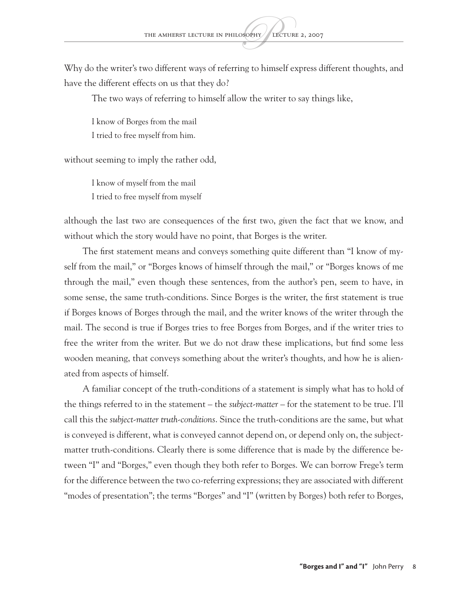Why do the writer's two different ways of referring to himself express different thoughts, and have the different effects on us that they do?

The two ways of referring to himself allow the writer to say things like,

I know of Borges from the mail I tried to free myself from him.

without seeming to imply the rather odd,

I know of myself from the mail I tried to free myself from myself

although the last two are consequences of the first two, *given* the fact that we know, and without which the story would have no point, that Borges is the writer.

The first statement means and conveys something quite different than "I know of myself from the mail," or "Borges knows of himself through the mail," or "Borges knows of me through the mail," even though these sentences, from the author's pen, seem to have, in some sense, the same truth-conditions. Since Borges is the writer, the first statement is true if Borges knows of Borges through the mail, and the writer knows of the writer through the mail. The second is true if Borges tries to free Borges from Borges, and if the writer tries to free the writer from the writer. But we do not draw these implications, but find some less wooden meaning, that conveys something about the writer's thoughts, and how he is alienated from aspects of himself.

A familiar concept of the truth-conditions of a statement is simply what has to hold of the things referred to in the statement – the *subject-matter* – for the statement to be true. I'll call this the *subject-matter truth-conditions*. Since the truth-conditions are the same, but what is conveyed is different, what is conveyed cannot depend on, or depend only on, the subjectmatter truth-conditions. Clearly there is some difference that is made by the difference between "I" and "Borges," even though they both refer to Borges. We can borrow Frege's term for the difference between the two co-referring expressions; they are associated with different "modes of presentation"; the terms "Borges" and "I" (written by Borges) both refer to Borges,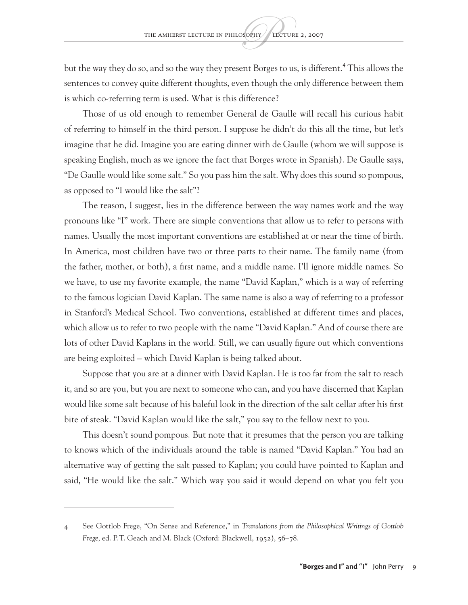but the way they do so, and so the way they present Borges to us, is different.<sup>4</sup> This allows the sentences to convey quite different thoughts, even though the only difference between them is which co-referring term is used. What is this difference?

Those of us old enough to remember General de Gaulle will recall his curious habit of referring to himself in the third person. I suppose he didn't do this all the time, but let's imagine that he did. Imagine you are eating dinner with de Gaulle (whom we will suppose is speaking English, much as we ignore the fact that Borges wrote in Spanish). De Gaulle says, "De Gaulle would like some salt." So you pass him the salt. Why does this sound so pompous, as opposed to "I would like the salt"?

The reason, I suggest, lies in the difference between the way names work and the way pronouns like "I" work. There are simple conventions that allow us to refer to persons with names. Usually the most important conventions are established at or near the time of birth. In America, most children have two or three parts to their name. The family name (from the father, mother, or both), a first name, and a middle name. I'll ignore middle names. So we have, to use my favorite example, the name "David Kaplan," which is a way of referring to the famous logician David Kaplan. The same name is also a way of referring to a professor in Stanford's Medical School. Two conventions, established at different times and places, which allow us to refer to two people with the name "David Kaplan." And of course there are lots of other David Kaplans in the world. Still, we can usually figure out which conventions are being exploited – which David Kaplan is being talked about.

Suppose that you are at a dinner with David Kaplan. He is too far from the salt to reach it, and so are you, but you are next to someone who can, and you have discerned that Kaplan would like some salt because of his baleful look in the direction of the salt cellar after his first bite of steak. "David Kaplan would like the salt," you say to the fellow next to you.

This doesn't sound pompous. But note that it presumes that the person you are talking to knows which of the individuals around the table is named "David Kaplan." You had an alternative way of getting the salt passed to Kaplan; you could have pointed to Kaplan and said, "He would like the salt." Which way you said it would depend on what you felt you

<sup>4</sup> See Gottlob Frege, "On Sense and Reference," in *Translations from the Philosophical Writings of Gottlob Frege*, ed. P.T. Geach and M. Black (Oxford: Blackwell, 1952), 56–78.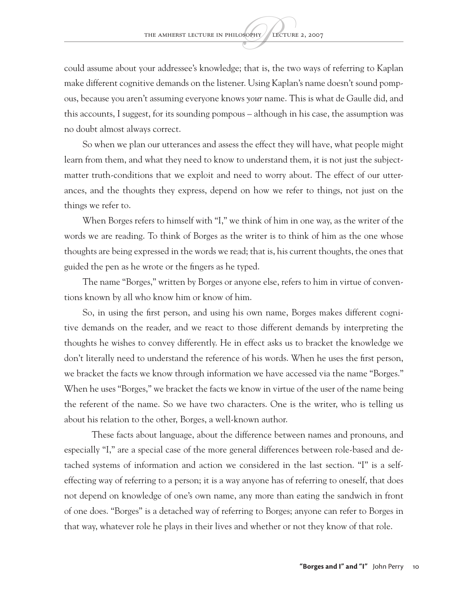could assume about your addressee's knowledge; that is, the two ways of referring to Kaplan make different cognitive demands on the listener. Using Kaplan's name doesn't sound pompous, because you aren't assuming everyone knows *your* name. This is what de Gaulle did, and this accounts, I suggest, for its sounding pompous – although in his case, the assumption was no doubt almost always correct.

So when we plan our utterances and assess the effect they will have, what people might learn from them, and what they need to know to understand them, it is not just the subjectmatter truth-conditions that we exploit and need to worry about. The effect of our utterances, and the thoughts they express, depend on how we refer to things, not just on the things we refer to.

When Borges refers to himself with "I," we think of him in one way, as the writer of the words we are reading. To think of Borges as the writer is to think of him as the one whose thoughts are being expressed in the words we read; that is, his current thoughts, the ones that guided the pen as he wrote or the fingers as he typed.

The name "Borges," written by Borges or anyone else, refers to him in virtue of conventions known by all who know him or know of him.

So, in using the first person, and using his own name, Borges makes different cognitive demands on the reader, and we react to those different demands by interpreting the thoughts he wishes to convey differently. He in effect asks us to bracket the knowledge we don't literally need to understand the reference of his words. When he uses the first person, we bracket the facts we know through information we have accessed via the name "Borges." When he uses "Borges," we bracket the facts we know in virtue of the user of the name being the referent of the name. So we have two characters. One is the writer, who is telling us about his relation to the other, Borges, a well-known author.

These facts about language, about the difference between names and pronouns, and especially "I," are a special case of the more general differences between role-based and detached systems of information and action we considered in the last section. "I" is a selfeffecting way of referring to a person; it is a way anyone has of referring to oneself, that does not depend on knowledge of one's own name, any more than eating the sandwich in front of one does. "Borges" is a detached way of referring to Borges; anyone can refer to Borges in that way, whatever role he plays in their lives and whether or not they know of that role.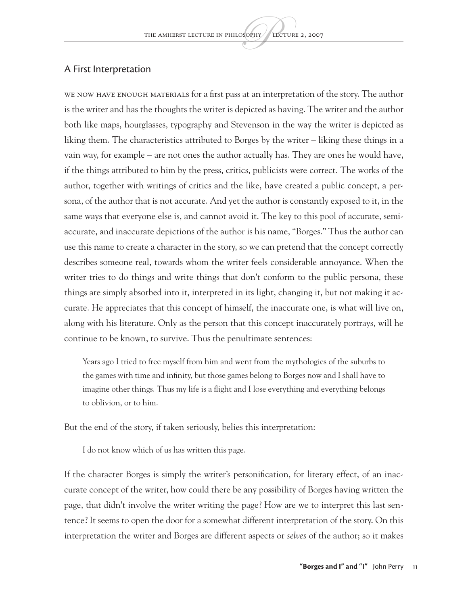#### A First Interpretation

We now have enough materials for a first pass at an interpretation of the story. The author is the writer and has the thoughts the writer is depicted as having. The writer and the author both like maps, hourglasses, typography and Stevenson in the way the writer is depicted as liking them. The characteristics attributed to Borges by the writer – liking these things in a vain way, for example – are not ones the author actually has. They are ones he would have, if the things attributed to him by the press, critics, publicists were correct. The works of the author, together with writings of critics and the like, have created a public concept, a persona, of the author that is not accurate. And yet the author is constantly exposed to it, in the same ways that everyone else is, and cannot avoid it. The key to this pool of accurate, semiaccurate, and inaccurate depictions of the author is his name, "Borges." Thus the author can use this name to create a character in the story, so we can pretend that the concept correctly describes someone real, towards whom the writer feels considerable annoyance. When the writer tries to do things and write things that don't conform to the public persona, these things are simply absorbed into it, interpreted in its light, changing it, but not making it accurate. He appreciates that this concept of himself, the inaccurate one, is what will live on, along with his literature. Only as the person that this concept inaccurately portrays, will he continue to be known, to survive. Thus the penultimate sentences:

Years ago I tried to free myself from him and went from the mythologies of the suburbs to the games with time and infinity, but those games belong to Borges now and I shall have to imagine other things. Thus my life is a flight and I lose everything and everything belongs to oblivion, or to him.

But the end of the story, if taken seriously, belies this interpretation:

I do not know which of us has written this page.

If the character Borges is simply the writer's personification, for literary effect, of an inaccurate concept of the writer, how could there be any possibility of Borges having written the page, that didn't involve the writer writing the page? How are we to interpret this last sentence? It seems to open the door for a somewhat different interpretation of the story. On this interpretation the writer and Borges are different aspects or *selves* of the author; so it makes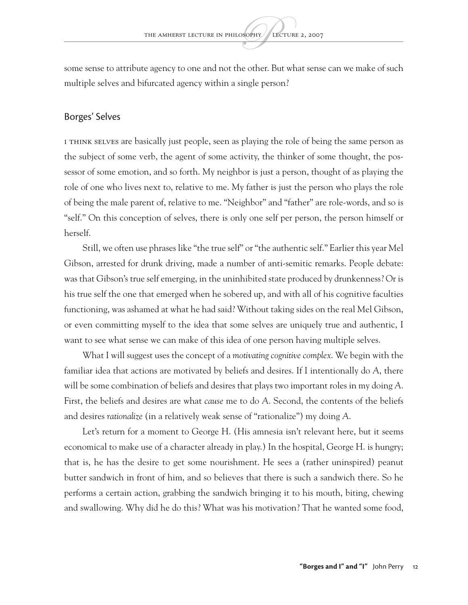some sense to attribute agency to one and not the other. But what sense can we make of such multiple selves and bifurcated agency within a single person?

#### Borges' Selves

I think selves are basically just people, seen as playing the role of being the same person as the subject of some verb, the agent of some activity, the thinker of some thought, the possessor of some emotion, and so forth. My neighbor is just a person, thought of as playing the role of one who lives next to, relative to me. My father is just the person who plays the role of being the male parent of, relative to me. "Neighbor" and "father" are role-words, and so is "self." On this conception of selves, there is only one self per person, the person himself or herself.

Still, we often use phrases like "the true self" or "the authentic self." Earlier this year Mel Gibson, arrested for drunk driving, made a number of anti-semitic remarks. People debate: was that Gibson's true self emerging, in the uninhibited state produced by drunkenness? Or is his true self the one that emerged when he sobered up, and with all of his cognitive faculties functioning, was ashamed at what he had said? Without taking sides on the real Mel Gibson, or even committing myself to the idea that some selves are uniquely true and authentic, I want to see what sense we can make of this idea of one person having multiple selves.

What I will suggest uses the concept of a *motivating cognitive complex*. We begin with the familiar idea that actions are motivated by beliefs and desires. If I intentionally do *A*, there will be some combination of beliefs and desires that plays two important roles in my doing *A*. First, the beliefs and desires are what *cause* me to do *A*. Second, the contents of the beliefs and desires *rationalize* (in a relatively weak sense of "rationalize") my doing *A*.

Let's return for a moment to George H. (His amnesia isn't relevant here, but it seems economical to make use of a character already in play.) In the hospital, George H. is hungry; that is, he has the desire to get some nourishment. He sees a (rather uninspired) peanut butter sandwich in front of him, and so believes that there is such a sandwich there. So he performs a certain action, grabbing the sandwich bringing it to his mouth, biting, chewing and swallowing. Why did he do this? What was his motivation? That he wanted some food,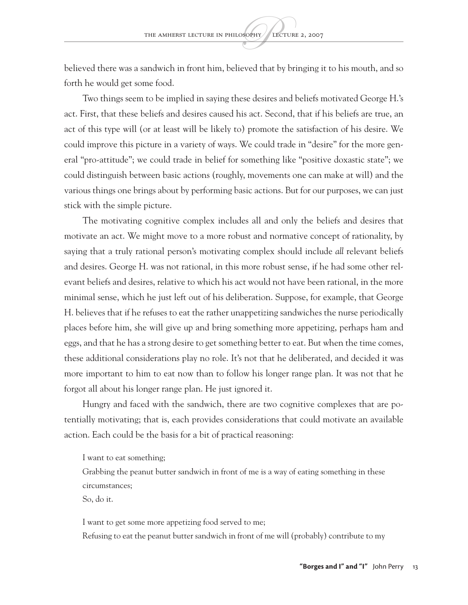believed there was a sandwich in front him, believed that by bringing it to his mouth, and so forth he would get some food.

Two things seem to be implied in saying these desires and beliefs motivated George H.'s act. First, that these beliefs and desires caused his act. Second, that if his beliefs are true, an act of this type will (or at least will be likely to) promote the satisfaction of his desire. We could improve this picture in a variety of ways. We could trade in "desire" for the more general "pro-attitude"; we could trade in belief for something like "positive doxastic state"; we could distinguish between basic actions (roughly, movements one can make at will) and the various things one brings about by performing basic actions. But for our purposes, we can just stick with the simple picture.

The motivating cognitive complex includes all and only the beliefs and desires that motivate an act. We might move to a more robust and normative concept of rationality, by saying that a truly rational person's motivating complex should include *all* relevant beliefs and desires. George H. was not rational, in this more robust sense, if he had some other relevant beliefs and desires, relative to which his act would not have been rational, in the more minimal sense, which he just left out of his deliberation. Suppose, for example, that George H. believes that if he refuses to eat the rather unappetizing sandwiches the nurse periodically places before him, she will give up and bring something more appetizing, perhaps ham and eggs, and that he has a strong desire to get something better to eat. But when the time comes, these additional considerations play no role. It's not that he deliberated, and decided it was more important to him to eat now than to follow his longer range plan. It was not that he forgot all about his longer range plan. He just ignored it.

Hungry and faced with the sandwich, there are two cognitive complexes that are potentially motivating; that is, each provides considerations that could motivate an available action. Each could be the basis for a bit of practical reasoning:

I want to eat something;

Grabbing the peanut butter sandwich in front of me is a way of eating something in these circumstances;

So, do it.

I want to get some more appetizing food served to me;

Refusing to eat the peanut butter sandwich in front of me will (probably) contribute to my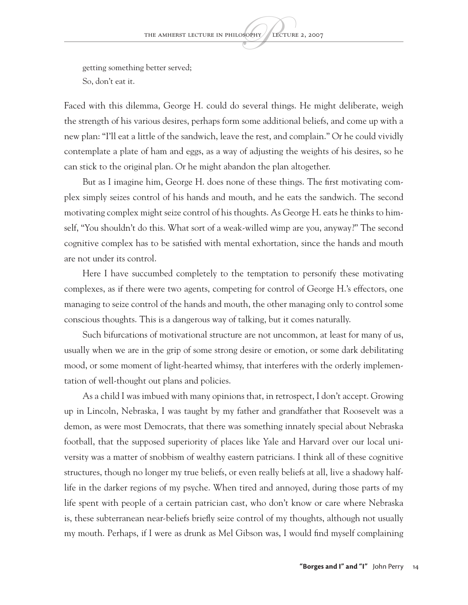getting something better served; So, don't eat it.

Faced with this dilemma, George H. could do several things. He might deliberate, weigh the strength of his various desires, perhaps form some additional beliefs, and come up with a new plan: "I'll eat a little of the sandwich, leave the rest, and complain." Or he could vividly contemplate a plate of ham and eggs, as a way of adjusting the weights of his desires, so he can stick to the original plan. Or he might abandon the plan altogether.

But as I imagine him, George H. does none of these things. The first motivating complex simply seizes control of his hands and mouth, and he eats the sandwich. The second motivating complex might seize control of his thoughts. As George H. eats he thinks to himself, "You shouldn't do this. What sort of a weak-willed wimp are you, anyway?" The second cognitive complex has to be satisfied with mental exhortation, since the hands and mouth are not under its control.

Here I have succumbed completely to the temptation to personify these motivating complexes, as if there were two agents, competing for control of George H.'s effectors, one managing to seize control of the hands and mouth, the other managing only to control some conscious thoughts. This is a dangerous way of talking, but it comes naturally.

Such bifurcations of motivational structure are not uncommon, at least for many of us, usually when we are in the grip of some strong desire or emotion, or some dark debilitating mood, or some moment of light-hearted whimsy, that interferes with the orderly implementation of well-thought out plans and policies.

As a child I was imbued with many opinions that, in retrospect, I don't accept. Growing up in Lincoln, Nebraska, I was taught by my father and grandfather that Roosevelt was a demon, as were most Democrats, that there was something innately special about Nebraska football, that the supposed superiority of places like Yale and Harvard over our local university was a matter of snobbism of wealthy eastern patricians. I think all of these cognitive structures, though no longer my true beliefs, or even really beliefs at all, live a shadowy halflife in the darker regions of my psyche. When tired and annoyed, during those parts of my life spent with people of a certain patrician cast, who don't know or care where Nebraska is, these subterranean near-beliefs briefly seize control of my thoughts, although not usually my mouth. Perhaps, if I were as drunk as Mel Gibson was, I would find myself complaining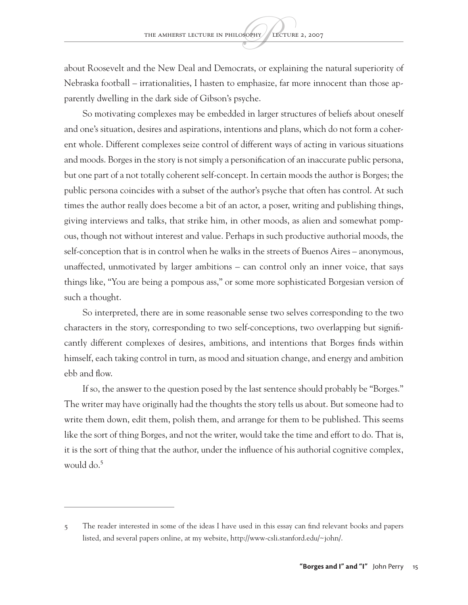about Roosevelt and the New Deal and Democrats, or explaining the natural superiority of Nebraska football – irrationalities, I hasten to emphasize, far more innocent than those apparently dwelling in the dark side of Gibson's psyche.

So motivating complexes may be embedded in larger structures of beliefs about oneself and one's situation, desires and aspirations, intentions and plans, which do not form a coherent whole. Different complexes seize control of different ways of acting in various situations and moods. Borges in the story is not simply a personification of an inaccurate public persona, but one part of a not totally coherent self-concept. In certain moods the author is Borges; the public persona coincides with a subset of the author's psyche that often has control. At such times the author really does become a bit of an actor, a poser, writing and publishing things, giving interviews and talks, that strike him, in other moods, as alien and somewhat pompous, though not without interest and value. Perhaps in such productive authorial moods, the self-conception that is in control when he walks in the streets of Buenos Aires – anonymous, unaffected, unmotivated by larger ambitions – can control only an inner voice, that says things like, "You are being a pompous ass," or some more sophisticated Borgesian version of such a thought.

So interpreted, there are in some reasonable sense two selves corresponding to the two characters in the story, corresponding to two self-conceptions, two overlapping but significantly different complexes of desires, ambitions, and intentions that Borges finds within himself, each taking control in turn, as mood and situation change, and energy and ambition ebb and flow.

If so, the answer to the question posed by the last sentence should probably be "Borges." The writer may have originally had the thoughts the story tells us about. But someone had to write them down, edit them, polish them, and arrange for them to be published. This seems like the sort of thing Borges, and not the writer, would take the time and effort to do. That is, it is the sort of thing that the author, under the influence of his authorial cognitive complex, would do.<sup>5</sup>

<sup>5</sup> The reader interested in some of the ideas I have used in this essay can find relevant books and papers listed, and several papers online, at my website, <http://www-csli.stanford.edu/~john/>.